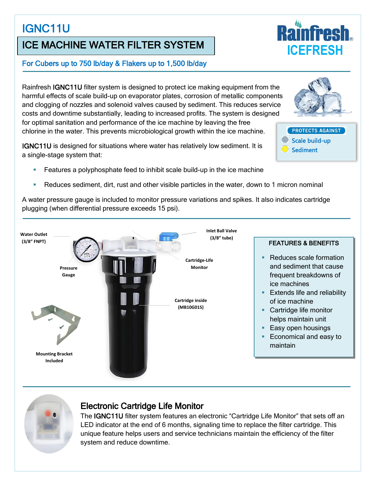# IGNC11U

# ICE MACHINE WATER FILTER SYSTEM

#### For Cubers up to 750 lb/day & Flakers up to 1,500 lb/day

Rainfresh IGNC11U filter system is designed to protect ice making equipment from the harmful effects of scale build-up on evaporator plates, corrosion of metallic components and clogging of nozzles and solenoid valves caused by sediment. This reduces service costs and downtime substantially, leading to increased profits. The system is designed for optimal sanitation and performance of the ice machine by leaving the free chlorine in the water. This prevents microbiological growth within the ice machine.

IGNC11U is designed for situations where water has relatively low sediment. It is a single-stage system that:

- **Features a polyphosphate feed to inhibit scale build-up in the ice machine**
- Reduces sediment, dirt, rust and other visible particles in the water, down to 1 micron nominal

A water pressure gauge is included to monitor pressure variations and spikes. It also indicates cartridge plugging (when differential pressure exceeds 15 psi).





#### Electronic Cartridge Life Monitor

The IGNC11U filter system features an electronic "Cartridge Life Monitor" that sets off an LED indicator at the end of 6 months, signaling time to replace the filter cartridge. This unique feature helps users and service technicians maintain the efficiency of the filter system and reduce downtime.